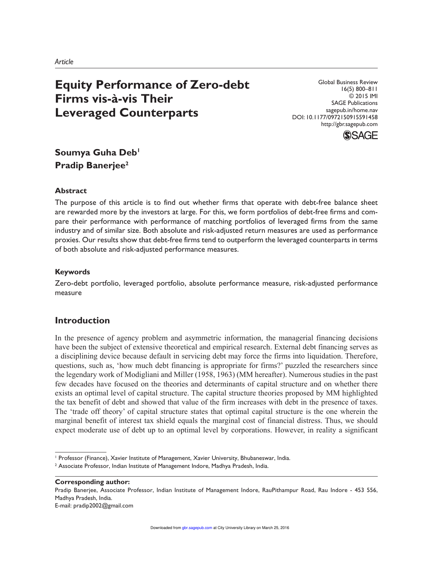# **Equity Performance of Zero-debt Firms vis-à-vis Their Leveraged Counterparts**

Global Business Review 16(5) 800–811 © 2015 IMI SAGE Publications sagepub.in/home.nav DOI: 10.1177/0972150915591458 http://gbr.sagepub.com



**Soumya Guha Deb<sup>1</sup> Pradip Banerjee<sup>2</sup>**

### **Abstract**

The purpose of this article is to find out whether firms that operate with debt-free balance sheet are rewarded more by the investors at large. For this, we form portfolios of debt-free firms and compare their performance with performance of matching portfolios of leveraged firms from the same industry and of similar size. Both absolute and risk-adjusted return measures are used as performance proxies. Our results show that debt-free firms tend to outperform the leveraged counterparts in terms of both absolute and risk-adjusted performance measures.

## **Keywords**

Zero-debt portfolio, leveraged portfolio, absolute performance measure, risk-adjusted performance measure

# **Introduction**

In the presence of agency problem and asymmetric information, the managerial financing decisions have been the subject of extensive theoretical and empirical research. External debt financing serves as a disciplining device because default in servicing debt may force the firms into liquidation. Therefore, questions, such as, 'how much debt financing is appropriate for firms?' puzzled the researchers since the legendary work of Modigliani and Miller (1958, 1963) (MM hereafter). Numerous studies in the past few decades have focused on the theories and determinants of capital structure and on whether there exists an optimal level of capital structure. The capital structure theories proposed by MM highlighted the tax benefit of debt and showed that value of the firm increases with debt in the presence of taxes. The 'trade off theory' of capital structure states that optimal capital structure is the one wherein the marginal benefit of interest tax shield equals the marginal cost of financial distress. Thus, we should expect moderate use of debt up to an optimal level by corporations. However, in reality a significant

**Corresponding author:**

Pradip Banerjee, Associate Professor, Indian Institute of Management Indore, RauPithampur Road, Rau Indore - 453 556, Madhya Pradesh, India.

E-mail: pradip2002@gmail.com

Professor (Finance), Xavier Institute of Management, Xavier University, Bhubaneswar, India.

 $^{\rm 2}$  Associate Professor, Indian Institute of Management Indore, Madhya Pradesh, India.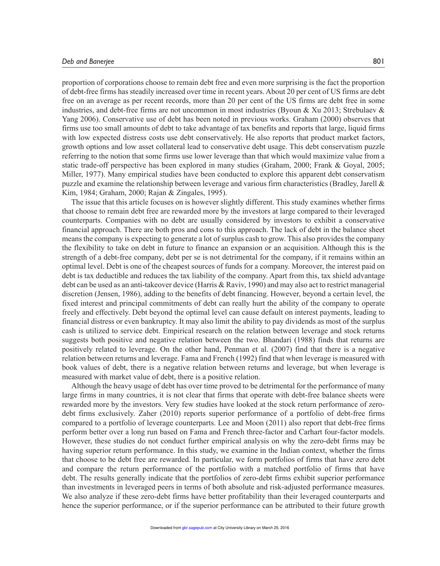proportion of corporations choose to remain debt free and even more surprising is the fact the proportion of debt-free firms has steadily increased over time in recent years. About 20 per cent of US firms are debt free on an average as per recent records, more than 20 per cent of the US firms are debt free in some industries, and debt-free firms are not uncommon in most industries (Byoun & Xu 2013; Strebulaev & Yang 2006). Conservative use of debt has been noted in previous works. Graham (2000) observes that firms use too small amounts of debt to take advantage of tax benefits and reports that large, liquid firms with low expected distress costs use debt conservatively. He also reports that product market factors, growth options and low asset collateral lead to conservative debt usage. This debt conservatism puzzle referring to the notion that some firms use lower leverage than that which would maximize value from a static trade-off perspective has been explored in many studies (Graham, 2000; Frank & Goyal, 2005; Miller, 1977). Many empirical studies have been conducted to explore this apparent debt conservatism puzzle and examine the relationship between leverage and various firm characteristics (Bradley, Jarell & Kim, 1984; Graham, 2000; Rajan & Zingales, 1995).

The issue that this article focuses on is however slightly different. This study examines whether firms that choose to remain debt free are rewarded more by the investors at large compared to their leveraged counterparts. Companies with no debt are usually considered by investors to exhibit a conservative financial approach. There are both pros and cons to this approach. The lack of debt in the balance sheet means the company is expecting to generate a lot of surplus cash to grow. This also provides the company the flexibility to take on debt in future to finance an expansion or an acquisition. Although this is the strength of a debt-free company, debt per se is not detrimental for the company, if it remains within an optimal level. Debt is one of the cheapest sources of funds for a company. Moreover, the interest paid on debt is tax deductible and reduces the tax liability of the company. Apart from this, tax shield advantage debt can be used as an anti-takeover device (Harris & Raviv, 1990) and may also act to restrict managerial discretion (Jensen, 1986), adding to the benefits of debt financing. However, beyond a certain level, the fixed interest and principal commitments of debt can really hurt the ability of the company to operate freely and effectively. Debt beyond the optimal level can cause default on interest payments, leading to financial distress or even bankruptcy. It may also limit the ability to pay dividends as most of the surplus cash is utilized to service debt. Empirical research on the relation between leverage and stock returns suggests both positive and negative relation between the two. Bhandari (1988) finds that returns are positively related to leverage. On the other hand, Penman et al. (2007) find that there is a negative relation between returns and leverage. Fama and French (1992) find that when leverage is measured with book values of debt, there is a negative relation between returns and leverage, but when leverage is measured with market value of debt, there is a positive relation.

Although the heavy usage of debt has over time proved to be detrimental for the performance of many large firms in many countries, it is not clear that firms that operate with debt-free balance sheets were rewarded more by the investors. Very few studies have looked at the stock return performance of zerodebt firms exclusively. Zaher (2010) reports superior performance of a portfolio of debt-free firms compared to a portfolio of leverage counterparts. Lee and Moon (2011) also report that debt-free firms perform better over a long run based on Fama and French three-factor and Carhart four-factor models. However, these studies do not conduct further empirical analysis on why the zero-debt firms may be having superior return performance. In this study, we examine in the Indian context, whether the firms that choose to be debt free are rewarded. In particular, we form portfolios of firms that have zero debt and compare the return performance of the portfolio with a matched portfolio of firms that have debt. The results generally indicate that the portfolios of zero-debt firms exhibit superior performance than investments in leveraged peers in terms of both absolute and risk-adjusted performance measures. We also analyze if these zero-debt firms have better profitability than their leveraged counterparts and hence the superior performance, or if the superior performance can be attributed to their future growth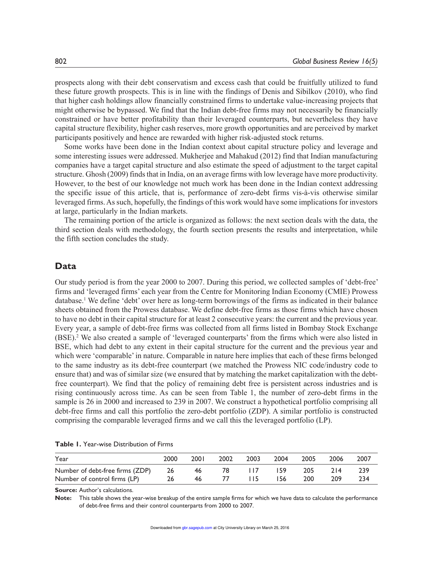prospects along with their debt conservatism and excess cash that could be fruitfully utilized to fund these future growth prospects. This is in line with the findings of Denis and Sibilkov (2010), who find that higher cash holdings allow financially constrained firms to undertake value-increasing projects that might otherwise be bypassed. We find that the Indian debt-free firms may not necessarily be financially constrained or have better profitability than their leveraged counterparts, but nevertheless they have capital structure flexibility, higher cash reserves, more growth opportunities and are perceived by market participants positively and hence are rewarded with higher risk-adjusted stock returns.

Some works have been done in the Indian context about capital structure policy and leverage and some interesting issues were addressed. Mukherjee and Mahakud (2012) find that Indian manufacturing companies have a target capital structure and also estimate the speed of adjustment to the target capital structure. Ghosh (2009) finds that in India, on an average firms with low leverage have more productivity. However, to the best of our knowledge not much work has been done in the Indian context addressing the specific issue of this article, that is, performance of zero-debt firms vis-à-vis otherwise similar leveraged firms. As such, hopefully, the findings of this work would have some implications for investors at large, particularly in the Indian markets.

The remaining portion of the article is organized as follows: the next section deals with the data, the third section deals with methodology, the fourth section presents the results and interpretation, while the fifth section concludes the study.

#### **Data**

Our study period is from the year 2000 to 2007. During this period, we collected samples of 'debt-free' firms and 'leveraged firms' each year from the Centre for Monitoring Indian Economy (CMIE) Prowess database.<sup>1</sup> We define 'debt' over here as long-term borrowings of the firms as indicated in their balance sheets obtained from the Prowess database. We define debt-free firms as those firms which have chosen to have no debt in their capital structure for at least 2 consecutive years: the current and the previous year. Every year, a sample of debt-free firms was collected from all firms listed in Bombay Stock Exchange (BSE).<sup>2</sup> We also created a sample of 'leveraged counterparts' from the firms which were also listed in BSE, which had debt to any extent in their capital structure for the current and the previous year and which were 'comparable' in nature. Comparable in nature here implies that each of these firms belonged to the same industry as its debt-free counterpart (we matched the Prowess NIC code/industry code to ensure that) and was of similar size (we ensured that by matching the market capitalization with the debtfree counterpart). We find that the policy of remaining debt free is persistent across industries and is rising continuously across time. As can be seen from Table 1, the number of zero-debt firms in the sample is 26 in 2000 and increased to 239 in 2007. We construct a hypothetical portfolio comprising all debt-free firms and call this portfolio the zero-debt portfolio (ZDP). A similar portfolio is constructed comprising the comparable leveraged firms and we call this the leveraged portfolio (LP).

| Year                            | 2000 | 2001 | 2002 | 2003 | 2004 | 2005 | 2006 | 2007 |
|---------------------------------|------|------|------|------|------|------|------|------|
| Number of debt-free firms (ZDP) | 26   | 46   | 78   | 117  | 159  | 205  | 214  | 239  |
| Number of control firms (LP)    | 26   | 46   | 77   | 115  | 156  | 200  | 209  | 234  |

**Table 1.** Year-wise Distribution of Firms

**Source:** Author's calculations.

**Note:** This table shows the year-wise breakup of the entire sample firms for which we have data to calculate the performance of debt-free firms and their control counterparts from 2000 to 2007.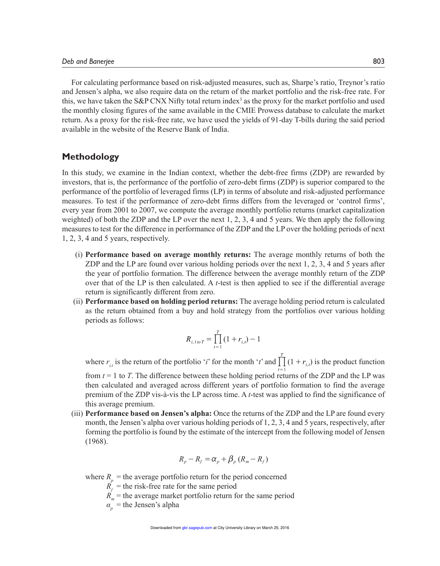For calculating performance based on risk-adjusted measures, such as, Sharpe's ratio, Treynor's ratio and Jensen's alpha, we also require data on the return of the market portfolio and the risk-free rate. For this, we have taken the S&P CNX Nifty total return index<sup>3</sup> as the proxy for the market portfolio and used the monthly closing figures of the same available in the CMIE Prowess database to calculate the market return. As a proxy for the risk-free rate, we have used the yields of 91-day T-bills during the said period available in the website of the Reserve Bank of India.

# **Methodology**

In this study, we examine in the Indian context, whether the debt-free firms (ZDP) are rewarded by investors, that is, the performance of the portfolio of zero-debt firms (ZDP) is superior compared to the performance of the portfolio of leveraged firms (LP) in terms of absolute and risk-adjusted performance measures. To test if the performance of zero-debt firms differs from the leveraged or 'control firms', every year from 2001 to 2007, we compute the average monthly portfolio returns (market capitalization weighted) of both the ZDP and the LP over the next 1, 2, 3, 4 and 5 years. We then apply the following measures to test for the difference in performance of the ZDP and the LP over the holding periods of next 1, 2, 3, 4 and 5 years, respectively.

- (i) **Performance based on average monthly returns:** The average monthly returns of both the ZDP and the LP are found over various holding periods over the next 1, 2, 3, 4 and 5 years after the year of portfolio formation. The difference between the average monthly return of the ZDP over that of the LP is then calculated. A *t*-test is then applied to see if the differential average return is significantly different from zero.
- (ii) **Performance based on holding period returns:** The average holding period return is calculated as the return obtained from a buy and hold strategy from the portfolios over various holding periods as follows:

$$
R_{i,1\text{ to }T} = \prod_{t=1}^{T} (1 + r_{i,t}) - 1
$$

where  $r_{i,t}$  is the return of the portfolio '*i*' for the month '*t*' and  $\prod_{t=1} (1 + r_{i,t})$  i  $\frac{r}{1}(1 +$ from  $t = 1$  to *T*. The difference between these holding period returns of the ZDP and the LP was  $\prod_{t=1}^{T} (1 + r_{i,t})$  is the product function then calculated and averaged across different years of portfolio formation to find the average premium of the ZDP vis-à-vis the LP across time. A *t*-test was applied to find the significance of this average premium.

(iii) **Performance based on Jensen's alpha:** Once the returns of the ZDP and the LP are found every month, the Jensen's alpha over various holding periods of 1, 2, 3, 4 and 5 years, respectively, after forming the portfolio is found by the estimate of the intercept from the following model of Jensen (1968).

$$
R_p - R_f = \alpha_p + \beta_p (R_m - R_f)
$$

- where  $R_p$  = the average portfolio return for the period concerned
	- $R_f$  = the risk-free rate for the same period
	- $\overline{R}_m$  = the average market portfolio return for the same period

 $\alpha$ <sup>*p*</sup> = the Jensen's alpha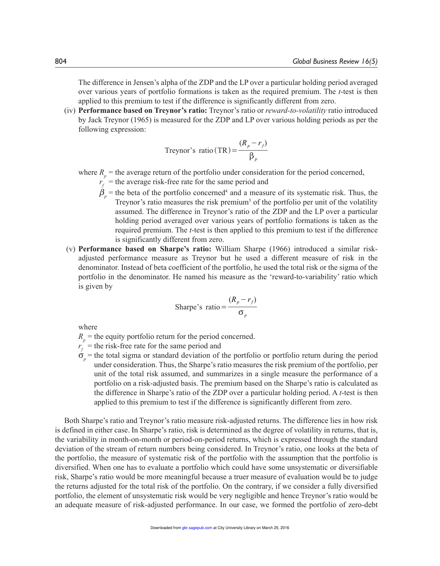The difference in Jensen's alpha of the ZDP and the LP over a particular holding period averaged over various years of portfolio formations is taken as the required premium. The *t*-test is then applied to this premium to test if the difference is significantly different from zero.

(iv) **Performance based on Treynor's ratio:** Treynor's ratio or *reward-to-volatility* ratio introduced by Jack Treynor (1965) is measured for the ZDP and LP over various holding periods as per the following expression:

Treynor's ratio (TR) = 
$$
\frac{(R_p - r_f)}{\beta_p}
$$

- where  $R_p$  = the average return of the portfolio under consideration for the period concerned,
	- $r_f$  = the average risk-free rate for the same period and
		- $\beta_p$  = the beta of the portfolio concerned<sup>4</sup> and a measure of its systematic risk. Thus, the Treynor's ratio measures the risk premium<sup>5</sup> of the portfolio per unit of the volatility assumed. The difference in Treynor's ratio of the ZDP and the LP over a particular holding period averaged over various years of portfolio formations is taken as the required premium. The *t*-test is then applied to this premium to test if the difference is significantly different from zero.
- (v) **Performance based on Sharpe's ratio:** William Sharpe (1966) introduced a similar riskadjusted performance measure as Treynor but he used a different measure of risk in the denominator. Instead of beta coefficient of the portfolio, he used the total risk or the sigma of the portfolio in the denominator. He named his measure as the 'reward-to-variability' ratio which is given by

Sharpe's ratio = 
$$
\frac{(R_p - r_f)}{\sigma_p}
$$

where

 $R_p$  = the equity portfolio return for the period concerned.

 $r_f$  = the risk-free rate for the same period and

 $\sigma_p$  = the total sigma or standard deviation of the portfolio or portfolio return during the period under consideration. Thus, the Sharpe's ratio measures the risk premium of the portfolio, per unit of the total risk assumed, and summarizes in a single measure the performance of a portfolio on a risk-adjusted basis. The premium based on the Sharpe's ratio is calculated as the difference in Sharpe's ratio of the ZDP over a particular holding period. A *t*-test is then applied to this premium to test if the difference is significantly different from zero.

Both Sharpe's ratio and Treynor's ratio measure risk-adjusted returns. The difference lies in how risk is defined in either case. In Sharpe's ratio, risk is determined as the degree of volatility in returns, that is, the variability in month-on-month or period-on-period returns, which is expressed through the standard deviation of the stream of return numbers being considered. In Treynor's ratio, one looks at the beta of the portfolio, the measure of systematic risk of the portfolio with the assumption that the portfolio is diversified. When one has to evaluate a portfolio which could have some unsystematic or diversifiable risk, Sharpe's ratio would be more meaningful because a truer measure of evaluation would be to judge the returns adjusted for the total risk of the portfolio. On the contrary, if we consider a fully diversified portfolio, the element of unsystematic risk would be very negligible and hence Treynor's ratio would be an adequate measure of risk-adjusted performance. In our case, we formed the portfolio of zero-debt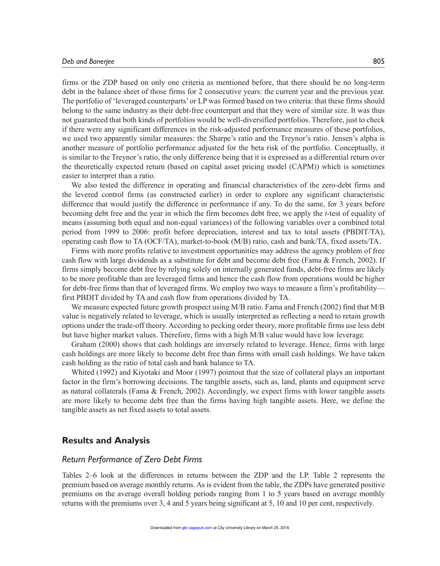firms or the ZDP based on only one criteria as mentioned before, that there should be no long-term debt in the balance sheet of those firms for 2 consecutive years: the current year and the previous year. The portfolio of 'leveraged counterparts' or LP was formed based on two criteria: that these firms should belong to the same industry as their debt-free counterpart and that they were of similar size. It was thus not guaranteed that both kinds of portfolios would be well-diversified portfolios. Therefore, just to check if there were any significant differences in the risk-adjusted performance measures of these portfolios, we used two apparently similar measures: the Sharpe's ratio and the Treynor's ratio. Jensen's alpha is another measure of portfolio performance adjusted for the beta risk of the portfolio. Conceptually, it is similar to the Treynor's ratio, the only difference being that it is expressed as a differential return over the theoretically expected return (based on capital asset pricing model (CAPM)) which is sometimes easier to interpret than a ratio.

We also tested the difference in operating and financial characteristics of the zero-debt firms and the levered control firms (as constructed earlier) in order to explore any significant characteristic difference that would justify the difference in performance if any. To do the same, for 3 years before becoming debt free and the year in which the firm becomes debt free, we apply the *t*-test of equality of means (assuming both equal and non-equal variances) of the following variables over a combined total period from 1999 to 2006: profit before depreciation, interest and tax to total assets (PBDIT/TA), operating cash flow to TA (OCF/TA), market-to-book (M/B) ratio, cash and bank/TA, fixed assets/TA.

Firms with more profits relative to investment opportunities may address the agency problem of free cash flow with large dividends as a substitute for debt and become debt free (Fama & French, 2002). If firms simply become debt free by relying solely on internally generated funds, debt-free firms are likely to be more profitable than are leveraged firms and hence the cash flow from operations would be higher for debt-free firms than that of leveraged firms. We employ two ways to measure a firm's profitability first PBDIT divided by TA and cash flow from operations divided by TA.

We measure expected future growth prospect using M/B ratio. Fama and French (2002) find that M/B value is negatively related to leverage, which is usually interpreted as reflecting a need to retain growth options under the trade-off theory. According to pecking order theory, more profitable firms use less debt but have higher market values. Therefore, firms with a high M/B value would have low leverage*.*

Graham (2000) shows that cash holdings are inversely related to leverage. Hence, firms with large cash holdings are more likely to become debt free than firms with small cash holdings. We have taken cash holding as the ratio of total cash and bank balance to TA.

Whited (1992) and Kiyotaki and Moor (1997) pointout that the size of collateral plays an important factor in the firm's borrowing decisions. The tangible assets, such as, land, plants and equipment serve as natural collaterals (Fama & French, 2002). Accordingly, we expect firms with lower tangible assets are more likely to become debt free than the firms having high tangible assets. Here, we define the tangible assets as net fixed assets to total assets.

### **Results and Analysis**

#### *Return Performance of Zero Debt Firms*

Tables 2–6 look at the differences in returns between the ZDP and the LP. Table 2 represents the premium based on average monthly returns. As is evident from the table, the ZDPs have generated positive premiums on the average overall holding periods ranging from 1 to 5 years based on average monthly returns with the premiums over 3, 4 and 5 years being significant at 5, 10 and 10 per cent, respectively.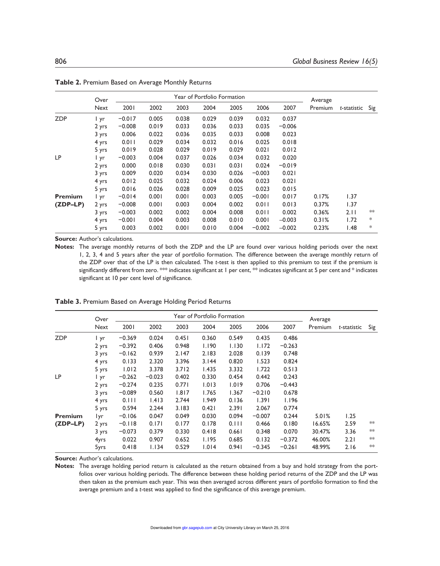|                | Over  |          |       |       | Year of Portfolio Formation |       |          |          | Average |             |     |
|----------------|-------|----------|-------|-------|-----------------------------|-------|----------|----------|---------|-------------|-----|
|                | Next  | 2001     | 2002  | 2003  | 2004                        | 2005  | 2006     | 2007     | Premium | t-statistic | Sig |
| <b>ZDP</b>     | I yr  | $-0.017$ | 0.005 | 0.038 | 0.029                       | 0.039 | 0.032    | 0.037    |         |             |     |
|                | 2 yrs | $-0.008$ | 0.019 | 0.033 | 0.036                       | 0.033 | 0.035    | $-0.006$ |         |             |     |
|                | 3 yrs | 0.006    | 0.022 | 0.036 | 0.035                       | 0.033 | 0.008    | 0.023    |         |             |     |
|                | 4 yrs | 0.011    | 0.029 | 0.034 | 0.032                       | 0.016 | 0.025    | 0.018    |         |             |     |
|                | 5 yrs | 0.019    | 0.028 | 0.029 | 0.019                       | 0.029 | 0.021    | 0.012    |         |             |     |
| LP             | I yr  | $-0.003$ | 0.004 | 0.037 | 0.026                       | 0.034 | 0.032    | 0.020    |         |             |     |
|                | 2 yrs | 0.000    | 0.018 | 0.030 | 0.031                       | 0.031 | 0.024    | $-0.019$ |         |             |     |
|                | 3 yrs | 0.009    | 0.020 | 0.034 | 0.030                       | 0.026 | $-0.003$ | 0.021    |         |             |     |
|                | 4 yrs | 0.012    | 0.025 | 0.032 | 0.024                       | 0.006 | 0.023    | 0.021    |         |             |     |
|                | 5 yrs | 0.016    | 0.026 | 0.028 | 0.009                       | 0.025 | 0.023    | 0.015    |         |             |     |
| <b>Premium</b> | I yr  | $-0.014$ | 0.001 | 0.001 | 0.003                       | 0.005 | $-0.001$ | 0.017    | 0.17%   | 1.37        |     |
| $(ZDP-LP)$     | 2 yrs | $-0.008$ | 0.001 | 0.003 | 0.004                       | 0.002 | 0.011    | 0.013    | 0.37%   | 1.37        |     |
|                | 3 yrs | $-0.003$ | 0.002 | 0.002 | 0.004                       | 0.008 | 0.011    | 0.002    | 0.36%   | 2.11        | $*$ |
|                | 4 yrs | $-0.001$ | 0.004 | 0.003 | 0.008                       | 0.010 | 0.001    | $-0.003$ | 0.31%   | 1.72        | *   |
|                | 5 yrs | 0.003    | 0.002 | 0.001 | 0.010                       | 0.004 | $-0.002$ | $-0.002$ | 0.23%   | 1.48        | *   |

**Table 2.** Premium Based on Average Monthly Returns

**Notes:** The average monthly returns of both the ZDP and the LP are found over various holding periods over the next 1, 2, 3, 4 and 5 years after the year of portfolio formation. The difference between the average monthly return of the ZDP over that of the LP is then calculated. The *t*-test is then applied to this premium to test if the premium is significantly different from zero. \*\*\* indicates significant at 1 per cent, \*\* indicates significant at 5 per cent and \* indicates significant at 10 per cent level of significance.

|                | Over  |          | Year of Portfolio Formation |       |       |       |          |          | Average |             |            |
|----------------|-------|----------|-----------------------------|-------|-------|-------|----------|----------|---------|-------------|------------|
|                | Next  | 2001     | 2002                        | 2003  | 2004  | 2005  | 2006     | 2007     | Premium | t-statistic | Sig        |
| ZDP            | l yr  | $-0.369$ | 0.024                       | 0.451 | 0.360 | 0.549 | 0.435    | 0.486    |         |             |            |
|                | 2 yrs | $-0.392$ | 0.406                       | 0.948 | 1.190 | 1.130 | 1.172    | $-0.263$ |         |             |            |
|                | 3 yrs | $-0.162$ | 0.939                       | 2.147 | 2.183 | 2.028 | 0.139    | 0.748    |         |             |            |
|                | 4 yrs | 0.133    | 2.320                       | 3.396 | 3.144 | 0.820 | 1.523    | 0.824    |         |             |            |
|                | 5 yrs | 1.012    | 3.378                       | 3.712 | 1.435 | 3.332 | 1.722    | 0.513    |         |             |            |
| LP.            | I yr  | $-0.262$ | $-0.023$                    | 0.402 | 0.330 | 0.454 | 0.442    | 0.243    |         |             |            |
|                | 2 yrs | $-0.274$ | 0.235                       | 0.771 | 1.013 | 1.019 | 0.706    | $-0.443$ |         |             |            |
|                | 3 yrs | $-0.089$ | 0.560                       | 1.817 | 1.765 | 1.367 | $-0.210$ | 0.678    |         |             |            |
|                | 4 yrs | 0.111    | 1.413                       | 2.744 | 1.949 | 0.136 | 1.391    | 1.196    |         |             |            |
|                | 5 yrs | 0.594    | 2.244                       | 3.183 | 0.421 | 2.391 | 2.067    | 0.774    |         |             |            |
| <b>Premium</b> | lyr   | $-0.106$ | 0.047                       | 0.049 | 0.030 | 0.094 | $-0.007$ | 0.244    | 5.01%   | 1.25        |            |
| $(ZDP-LP)$     | 2 yrs | $-0.118$ | 0.171                       | 0.177 | 0.178 | 0.111 | 0.466    | 0.180    | 16.65%  | 2.59        | $\ast\ast$ |
|                | 3 yrs | $-0.073$ | 0.379                       | 0.330 | 0.418 | 0.661 | 0.348    | 0.070    | 30.47%  | 3.36        | $\ast\ast$ |
|                | 4yrs  | 0.022    | 0.907                       | 0.652 | 1.195 | 0.685 | 0.132    | $-0.372$ | 46.00%  | 2.21        | $\ast\ast$ |
|                | 5yrs  | 0.418    | 1.134                       | 0.529 | 1.014 | 0.941 | $-0.345$ | $-0.261$ | 48.99%  | 2.16        | $**$       |

**Table 3.** Premium Based on Average Holding Period Returns

**Source:** Author's calculations.

**Notes:** The average holding period return is calculated as the return obtained from a buy and hold strategy from the portfolios over various holding periods. The difference between these holding period returns of the ZDP and the LP was then taken as the premium each year. This was then averaged across different years of portfolio formation to find the average premium and a *t*-test was applied to find the significance of this average premium.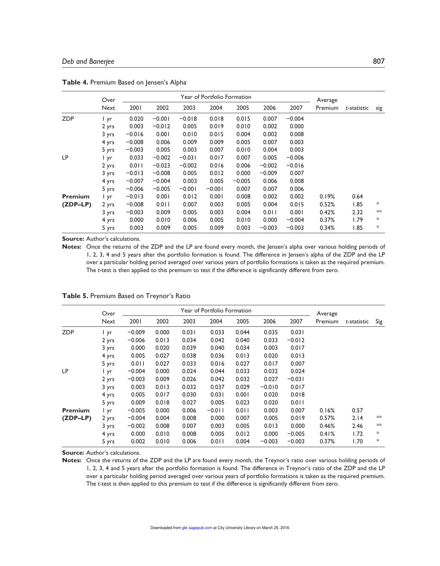|                | Over  |          |          |          | Year of Portfolio Formation |          |          |          | Average |             |                |
|----------------|-------|----------|----------|----------|-----------------------------|----------|----------|----------|---------|-------------|----------------|
|                | Next  | 2001     | 2002     | 2003     | 2004                        | 2005     | 2006     | 2007     | Premium | t-statistic | sig            |
| <b>ZDP</b>     | I yr  | 0.020    | $-0.001$ | $-0.018$ | 0.018                       | 0.015    | 0.007    | $-0.004$ |         |             |                |
|                | 2 yrs | 0.003    | $-0.012$ | 0.005    | 0.019                       | 0.010    | 0.002    | 0.000    |         |             |                |
|                | 3 yrs | $-0.016$ | 0.001    | 0.010    | 0.015                       | 0.004    | 0.002    | 0.008    |         |             |                |
|                | 4 yrs | $-0.008$ | 0.006    | 0.009    | 0.009                       | 0.005    | 0.007    | 0.003    |         |             |                |
|                | 5 yrs | $-0.003$ | 0.005    | 0.003    | 0.007                       | 0.010    | 0.004    | 0.003    |         |             |                |
| LP.            | I yr  | 0.033    | $-0.002$ | $-0.031$ | 0.017                       | 0.007    | 0.005    | $-0.006$ |         |             |                |
|                | 2 yrs | 0.011    | $-0.023$ | $-0.002$ | 0.016                       | 0.006    | $-0.002$ | $-0.016$ |         |             |                |
|                | 3 yrs | $-0.013$ | $-0.008$ | 0.005    | 0.012                       | 0.000    | $-0.009$ | 0.007    |         |             |                |
|                | 4 yrs | $-0.007$ | $-0.004$ | 0.003    | 0.005                       | $-0.005$ | 0.006    | 0.008    |         |             |                |
|                | 5 yrs | $-0.006$ | $-0.005$ | $-0.001$ | $-0.001$                    | 0.007    | 0.007    | 0.006    |         |             |                |
| <b>Premium</b> | l yr  | $-0.013$ | 0.001    | 0.012    | 0.001                       | 0.008    | 0.002    | 0.002    | 0.19%   | 0.64        |                |
| $(ZDP-LP)$     | 2 yrs | $-0.008$ | 0.011    | 0.007    | 0.003                       | 0.005    | 0.004    | 0.015    | 0.52%   | 1.85        | $*$            |
|                | 3 yrs | $-0.003$ | 0.009    | 0.005    | 0.003                       | 0.004    | 0.011    | 0.001    | 0.42%   | 2.32        | $\ast\!\!\ast$ |
|                | 4 yrs | 0.000    | 0.010    | 0.006    | 0.005                       | 0.010    | 0.000    | $-0.004$ | 0.37%   | 1.79        | $\ast$         |
|                | 5 yrs | 0.003    | 0.009    | 0.005    | 0.009                       | 0.003    | $-0.003$ | $-0.003$ | 0.34%   | 1.85        | $*$            |

**Table 4.** Premium Based on Jensen's Alpha

**Notes:** Once the returns of the ZDP and the LP are found every month, the Jensen's alpha over various holding periods of 1, 2, 3, 4 and 5 years after the portfolio formation is found. The difference in Jensen's alpha of the ZDP and the LP over a particular holding period averaged over various years of portfolio formations is taken as the required premium. The *t*-test is then applied to this premium to test if the difference is significantly different from zero.

|                | Over  |          |       | Average |          |       |          |          |         |             |            |
|----------------|-------|----------|-------|---------|----------|-------|----------|----------|---------|-------------|------------|
|                | Next  | 2001     | 2002  | 2003    | 2004     | 2005  | 2006     | 2007     | Premium | t-statistic | Sig        |
| ZDP            | I yr  | $-0.009$ | 0.000 | 0.031   | 0.033    | 0.044 | 0.035    | 0.031    |         |             |            |
|                | 2 yrs | $-0.006$ | 0.013 | 0.034   | 0.042    | 0.040 | 0.033    | $-0.012$ |         |             |            |
|                | 3 yrs | 0.000    | 0.020 | 0.039   | 0.040    | 0.034 | 0.003    | 0.017    |         |             |            |
|                | 4 yrs | 0.005    | 0.027 | 0.038   | 0.036    | 0.013 | 0.020    | 0.013    |         |             |            |
|                | 5 yrs | 0.011    | 0.027 | 0.033   | 0.016    | 0.027 | 0.017    | 0.007    |         |             |            |
| LP             | l yr  | $-0.004$ | 0.000 | 0.024   | 0.044    | 0.033 | 0.032    | 0.024    |         |             |            |
|                | 2 yrs | $-0.003$ | 0.009 | 0.026   | 0.042    | 0.032 | 0.027    | $-0.031$ |         |             |            |
|                | 3 yrs | 0.003    | 0.013 | 0.032   | 0.037    | 0.029 | $-0.010$ | 0.017    |         |             |            |
|                | 4 yrs | 0.005    | 0.017 | 0.030   | 0.031    | 0.001 | 0.020    | 0.018    |         |             |            |
|                | 5 yrs | 0.009    | 0.018 | 0.027   | 0.005    | 0.023 | 0.020    | 0.011    |         |             |            |
| <b>Premium</b> | I yr  | $-0.005$ | 0.000 | 0.006   | $-0.011$ | 0.011 | 0.003    | 0.007    | 0.16%   | 0.57        |            |
| $(ZDP-LP)$     | 2 yrs | $-0.004$ | 0.004 | 0.008   | 0.000    | 0.007 | 0.005    | 0.019    | 0.57%   | 2.14        | $\ast\ast$ |
|                | 3 yrs | $-0.002$ | 0.008 | 0.007   | 0.003    | 0.005 | 0.013    | 0.000    | 0.46%   | 2.46        | $\ast\ast$ |
|                | 4 yrs | 0.000    | 0.010 | 0.008   | 0.005    | 0.012 | 0.000    | $-0.005$ | 0.41%   | 1.72        | $\ast$     |
|                | 5 yrs | 0.002    | 0.010 | 0.006   | 0.011    | 0.004 | $-0.003$ | $-0.003$ | 0.37%   | 1.70        | *          |

**Table 5.** Premium Based on Treynor's Ratio

**Source:** Author's calculations.

**Notes:** Once the returns of the ZDP and the LP are found every month, the Treynor's ratio over various holding periods of 1, 2, 3, 4 and 5 years after the portfolio formation is found. The difference in Treynor's ratio of the ZDP and the LP over a particular holding period averaged over various years of portfolio formations is taken as the required premium. The *t*-test is then applied to this premium to test if the difference is significantly different from zero.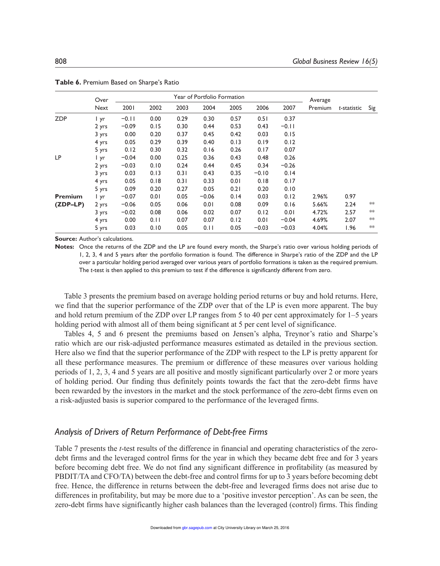|                | Over  |         |      |      | Year of Portfolio Formation |      |         |         | Average |             |              |
|----------------|-------|---------|------|------|-----------------------------|------|---------|---------|---------|-------------|--------------|
|                | Next  | 2001    | 2002 | 2003 | 2004                        | 2005 | 2006    | 2007    | Premium | t-statistic | Sig          |
| <b>ZDP</b>     | l yr  | $-0.11$ | 0.00 | 0.29 | 0.30                        | 0.57 | 0.51    | 0.37    |         |             |              |
|                | 2 yrs | $-0.09$ | 0.15 | 0.30 | 0.44                        | 0.53 | 0.43    | $-0.11$ |         |             |              |
|                | 3 yrs | 0.00    | 0.20 | 0.37 | 0.45                        | 0.42 | 0.03    | 0.15    |         |             |              |
|                | 4 yrs | 0.05    | 0.29 | 0.39 | 0.40                        | 0.13 | 0.19    | 0.12    |         |             |              |
|                | 5 yrs | 0.12    | 0.30 | 0.32 | 0.16                        | 0.26 | 0.17    | 0.07    |         |             |              |
| LP             | I yr  | $-0.04$ | 0.00 | 0.25 | 0.36                        | 0.43 | 0.48    | 0.26    |         |             |              |
|                | 2 yrs | $-0.03$ | 0.10 | 0.24 | 0.44                        | 0.45 | 0.34    | $-0.26$ |         |             |              |
|                | 3 yrs | 0.03    | 0.13 | 0.31 | 0.43                        | 0.35 | $-0.10$ | 0.14    |         |             |              |
|                | 4 yrs | 0.05    | 0.18 | 0.31 | 0.33                        | 0.01 | 0.18    | 0.17    |         |             |              |
|                | 5 yrs | 0.09    | 0.20 | 0.27 | 0.05                        | 0.21 | 0.20    | 0.10    |         |             |              |
| <b>Premium</b> | l yr  | $-0.07$ | 0.01 | 0.05 | $-0.06$                     | 0.14 | 0.03    | 0.12    | 2.96%   | 0.97        |              |
| $(ZDP-LP)$     | 2 yrs | $-0.06$ | 0.05 | 0.06 | 0.01                        | 0.08 | 0.09    | 0.16    | 5.66%   | 2.24        | $\ast\ast$   |
|                | 3 yrs | $-0.02$ | 0.08 | 0.06 | 0.02                        | 0.07 | 0.12    | 0.01    | 4.72%   | 2.57        | $\ast\!\ast$ |
|                | 4 yrs | 0.00    | 0.11 | 0.07 | 0.07                        | 0.12 | 0.01    | $-0.04$ | 4.69%   | 2.07        | $\ast\!\ast$ |
|                | 5 yrs | 0.03    | 0.10 | 0.05 | 0.11                        | 0.05 | $-0.03$ | $-0.03$ | 4.04%   | 1.96        | $*$          |

**Table 6.** Premium Based on Sharpe's Ratio

**Notes:** Once the returns of the ZDP and the LP are found every month, the Sharpe's ratio over various holding periods of 1, 2, 3, 4 and 5 years after the portfolio formation is found. The difference in Sharpe's ratio of the ZDP and the LP over a particular holding period averaged over various years of portfolio formations is taken as the required premium. The *t*-test is then applied to this premium to test if the difference is significantly different from zero.

Table 3 presents the premium based on average holding period returns or buy and hold returns. Here, we find that the superior performance of the ZDP over that of the LP is even more apparent. The buy and hold return premium of the ZDP over LP ranges from 5 to 40 per cent approximately for 1–5 years holding period with almost all of them being significant at 5 per cent level of significance.

Tables 4, 5 and 6 present the premiums based on Jensen's alpha, Treynor's ratio and Sharpe's ratio which are our risk-adjusted performance measures estimated as detailed in the previous section. Here also we find that the superior performance of the ZDP with respect to the LP is pretty apparent for all these performance measures. The premium or difference of these measures over various holding periods of 1, 2, 3, 4 and 5 years are all positive and mostly significant particularly over 2 or more years of holding period. Our finding thus definitely points towards the fact that the zero-debt firms have been rewarded by the investors in the market and the stock performance of the zero-debt firms even on a risk-adjusted basis is superior compared to the performance of the leveraged firms.

# *Analysis of Drivers of Return Performance of Debt-free Firms*

Table 7 presents the *t*-test results of the difference in financial and operating characteristics of the zerodebt firms and the leveraged control firms for the year in which they became debt free and for 3 years before becoming debt free. We do not find any significant difference in profitability (as measured by PBDIT/TA and CFO/TA) between the debt-free and control firms for up to 3 years before becoming debt free. Hence, the difference in returns between the debt-free and leveraged firms does not arise due to differences in profitability, but may be more due to a 'positive investor perception'. As can be seen, the zero-debt firms have significantly higher cash balances than the leveraged (control) firms. This finding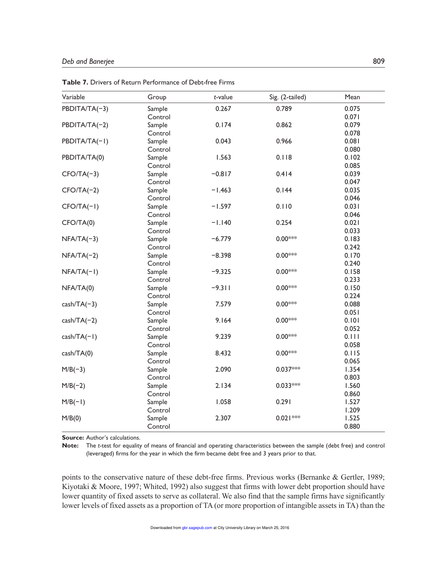| Variable      | Group   | t-value  | Sig. (2-tailed) | Mean  |
|---------------|---------|----------|-----------------|-------|
| PBDITA/TA(-3) | Sample  | 0.267    | 0.789           | 0.075 |
|               | Control |          |                 | 0.071 |
| PBDITA/TA(-2) | Sample  | 0.174    | 0.862           | 0.079 |
|               | Control |          |                 | 0.078 |
| PBDITA/TA(-1) | Sample  | 0.043    | 0.966           | 0.081 |
|               | Control |          |                 | 0.080 |
| PBDITA/TA(0)  | Sample  | 1.563    | 0.118           | 0.102 |
|               | Control |          |                 | 0.085 |
| $CFO/TA(-3)$  | Sample  | $-0.817$ | 0.414           | 0.039 |
|               | Control |          |                 | 0.047 |
| $CFO/TA(-2)$  | Sample  | $-1.463$ | 0.144           | 0.035 |
|               | Control |          |                 | 0.046 |
| $CFO/TA(-1)$  | Sample  | $-1.597$ | 0.110           | 0.031 |
|               | Control |          |                 | 0.046 |
| CFO/TA(0)     | Sample  | $-1.140$ | 0.254           | 0.021 |
|               | Control |          |                 | 0.033 |
| $NFA/TA(-3)$  | Sample  | $-6.779$ | $0.00***$       | 0.183 |
|               | Control |          |                 | 0.242 |
| $NFA/TA(-2)$  | Sample  | $-8.398$ | $0.00***$       | 0.170 |
|               | Control |          |                 | 0.240 |
| $NFA/TA(-1)$  | Sample  | $-9.325$ | $0.00***$       | 0.158 |
|               | Control |          |                 | 0.233 |
| NFA/TA(0)     | Sample  | $-9.311$ | $0.00***$       | 0.150 |
|               | Control |          |                 | 0.224 |
| $cash/TA(-3)$ | Sample  | 7.579    | $0.00***$       | 0.088 |
|               | Control |          |                 | 0.051 |
| $cash/TA(-2)$ | Sample  | 9.164    | $0.00***$       | 0.101 |
|               | Control |          |                 | 0.052 |
| $cash/TA(-1)$ | Sample  | 9.239    | $0.00***$       | 0.111 |
|               | Control |          |                 | 0.058 |
| cash/TA(0)    | Sample  | 8.432    | $0.00***$       | 0.115 |
|               | Control |          |                 | 0.065 |
| $M/B(-3)$     | Sample  | 2.090    | $0.037***$      | 1.354 |
|               | Control |          |                 | 0.803 |
| $M/B(-2)$     | Sample  | 2.134    | $0.033***$      | 1.560 |
|               | Control |          |                 | 0.860 |
| $M/B(-1)$     | Sample  | 1.058    | 0.291           | 1.527 |
|               | Control |          |                 | 1.209 |
| M/B(0)        | Sample  | 2.307    | $0.021***$      | 1.525 |
|               | Control |          |                 | 0.880 |

**Table 7.** Drivers of Return Performance of Debt-free Firms

**Note:** The *t*-test for equality of means of financial and operating characteristics between the sample (debt free) and control (leveraged) firms for the year in which the firm became debt free and 3 years prior to that.

points to the conservative nature of these debt-free firms. Previous works (Bernanke & Gertler, 1989; Kiyotaki & Moore, 1997; Whited, 1992) also suggest that firms with lower debt proportion should have lower quantity of fixed assets to serve as collateral. We also find that the sample firms have significantly lower levels of fixed assets as a proportion of TA (or more proportion of intangible assets in TA) than the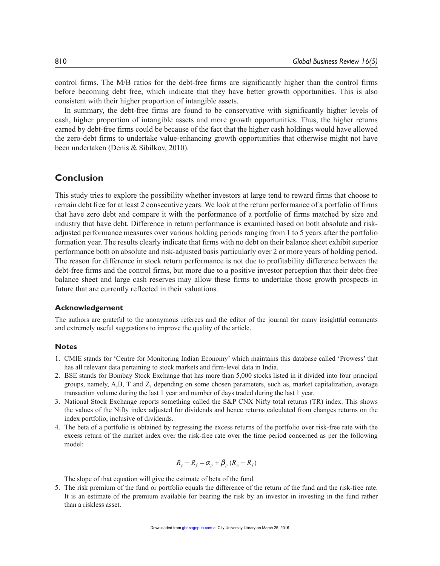control firms. The M/B ratios for the debt-free firms are significantly higher than the control firms before becoming debt free, which indicate that they have better growth opportunities. This is also consistent with their higher proportion of intangible assets.

In summary, the debt-free firms are found to be conservative with significantly higher levels of cash, higher proportion of intangible assets and more growth opportunities. Thus, the higher returns earned by debt-free firms could be because of the fact that the higher cash holdings would have allowed the zero-debt firms to undertake value-enhancing growth opportunities that otherwise might not have been undertaken (Denis & Sibilkov, 2010).

# **Conclusion**

This study tries to explore the possibility whether investors at large tend to reward firms that choose to remain debt free for at least 2 consecutive years. We look at the return performance of a portfolio of firms that have zero debt and compare it with the performance of a portfolio of firms matched by size and industry that have debt. Difference in return performance is examined based on both absolute and riskadjusted performance measures over various holding periods ranging from 1 to 5 years after the portfolio formation year. The results clearly indicate that firms with no debt on their balance sheet exhibit superior performance both on absolute and risk-adjusted basis particularly over 2 or more years of holding period. The reason for difference in stock return performance is not due to profitability difference between the debt-free firms and the control firms, but more due to a positive investor perception that their debt-free balance sheet and large cash reserves may allow these firms to undertake those growth prospects in future that are currently reflected in their valuations.

#### **Acknowledgement**

The authors are grateful to the anonymous referees and the editor of the journal for many insightful comments and extremely useful suggestions to improve the quality of the article.

#### **Notes**

- 1. CMIE stands for 'Centre for Monitoring Indian Economy' which maintains this database called 'Prowess' that has all relevant data pertaining to stock markets and firm-level data in India.
- 2. BSE stands for Bombay Stock Exchange that has more than 5,000 stocks listed in it divided into four principal groups, namely, A,B, T and Z, depending on some chosen parameters, such as, market capitalization, average transaction volume during the last 1 year and number of days traded during the last 1 year.
- 3. National Stock Exchange reports something called the S&P CNX Nifty total returns (TR) index. This shows the values of the Nifty index adjusted for dividends and hence returns calculated from changes returns on the index portfolio, inclusive of dividends.
- 4. The beta of a portfolio is obtained by regressing the excess returns of the portfolio over risk-free rate with the excess return of the market index over the risk-free rate over the time period concerned as per the following model:

$$
R_p - R_f = \alpha_p + \beta_p (R_m - R_f)
$$

The slope of that equation will give the estimate of beta of the fund.

5. The risk premium of the fund or portfolio equals the difference of the return of the fund and the risk-free rate. It is an estimate of the premium available for bearing the risk by an investor in investing in the fund rather than a riskless asset.